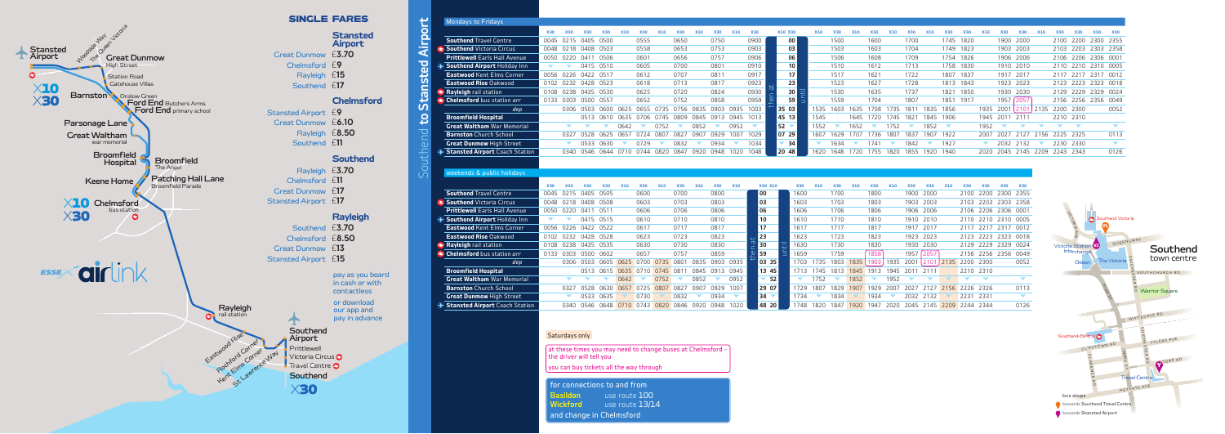**Wickford** use route 13/14

and change in Chelmsford





| <b>X30</b><br><b>X30</b><br>0045 0215 0405 0500<br>0048 0218 0408 0503<br>0050 0220 0411 0506<br>$\blacktriangledown$<br>0056 0226 0422 0517<br>0102 0232 0428 0523 | <b>X30</b>           | <b>X30</b><br>0415 0510                                                                            | <b>X10</b>                                                                                                                                                                                                                     | <b>X30</b><br>0555<br>0558<br>0601                              | <b>X10</b>                                                                                                       | <b>X30</b><br>0650<br>0653                                | <b>X10</b>                                                                                                                                                                                                                                 | <b>X30</b><br>0750                                                 | <b>X10</b>                                                                                                 | <b>X30</b>                                                                                                                                                        |                                                                                                                                                                                         | X10 X30                                                                    | <b>X10</b>                                                                                                                                                                              | <b>X30</b>                                              |                                                                                                                    |                                                                                       |                                                                                                                                    |                                                                                           |                                                                    | <b>X30</b>                                                                                                                                                                                                                                                       | <b>X30</b>                                                                                        | <b>X10</b>           | <b>X30</b>                                                                                                                                                                                                  | <b>X30</b>           | <b>X10</b>                                                                                                                                                                                                                                                                                                  | <b>X30</b> | <b>X30</b>               | <b>X30</b><br><b>X30</b>                                                                                                                                                        |
|---------------------------------------------------------------------------------------------------------------------------------------------------------------------|----------------------|----------------------------------------------------------------------------------------------------|--------------------------------------------------------------------------------------------------------------------------------------------------------------------------------------------------------------------------------|-----------------------------------------------------------------|------------------------------------------------------------------------------------------------------------------|-----------------------------------------------------------|--------------------------------------------------------------------------------------------------------------------------------------------------------------------------------------------------------------------------------------------|--------------------------------------------------------------------|------------------------------------------------------------------------------------------------------------|-------------------------------------------------------------------------------------------------------------------------------------------------------------------|-----------------------------------------------------------------------------------------------------------------------------------------------------------------------------------------|----------------------------------------------------------------------------|-----------------------------------------------------------------------------------------------------------------------------------------------------------------------------------------|---------------------------------------------------------|--------------------------------------------------------------------------------------------------------------------|---------------------------------------------------------------------------------------|------------------------------------------------------------------------------------------------------------------------------------|-------------------------------------------------------------------------------------------|--------------------------------------------------------------------|------------------------------------------------------------------------------------------------------------------------------------------------------------------------------------------------------------------------------------------------------------------|---------------------------------------------------------------------------------------------------|----------------------|-------------------------------------------------------------------------------------------------------------------------------------------------------------------------------------------------------------|----------------------|-------------------------------------------------------------------------------------------------------------------------------------------------------------------------------------------------------------------------------------------------------------------------------------------------------------|------------|--------------------------|---------------------------------------------------------------------------------------------------------------------------------------------------------------------------------|
|                                                                                                                                                                     |                      |                                                                                                    |                                                                                                                                                                                                                                |                                                                 |                                                                                                                  |                                                           |                                                                                                                                                                                                                                            |                                                                    |                                                                                                            |                                                                                                                                                                   |                                                                                                                                                                                         |                                                                            |                                                                                                                                                                                         |                                                         |                                                                                                                    |                                                                                       |                                                                                                                                    |                                                                                           |                                                                    |                                                                                                                                                                                                                                                                  |                                                                                                   |                      |                                                                                                                                                                                                             |                      |                                                                                                                                                                                                                                                                                                             |            |                          |                                                                                                                                                                                 |
|                                                                                                                                                                     |                      |                                                                                                    |                                                                                                                                                                                                                                |                                                                 |                                                                                                                  |                                                           |                                                                                                                                                                                                                                            |                                                                    |                                                                                                            |                                                                                                                                                                   |                                                                                                                                                                                         |                                                                            |                                                                                                                                                                                         |                                                         | X10                                                                                                                | <b>X30</b>                                                                            | <b>X10</b>                                                                                                                         | <b>X30</b>                                                                                | <b>X10</b>                                                         |                                                                                                                                                                                                                                                                  |                                                                                                   |                      |                                                                                                                                                                                                             |                      |                                                                                                                                                                                                                                                                                                             |            |                          |                                                                                                                                                                                 |
|                                                                                                                                                                     |                      |                                                                                                    |                                                                                                                                                                                                                                |                                                                 |                                                                                                                  |                                                           |                                                                                                                                                                                                                                            |                                                                    |                                                                                                            | 0900                                                                                                                                                              |                                                                                                                                                                                         | 00                                                                         |                                                                                                                                                                                         | 1500                                                    |                                                                                                                    | 1600                                                                                  |                                                                                                                                    | 1700                                                                                      |                                                                    | 1745 1820                                                                                                                                                                                                                                                        |                                                                                                   |                      |                                                                                                                                                                                                             | 1900 2000            |                                                                                                                                                                                                                                                                                                             |            |                          | 2100 2200 2300 2355                                                                                                                                                             |
|                                                                                                                                                                     |                      |                                                                                                    |                                                                                                                                                                                                                                |                                                                 |                                                                                                                  |                                                           |                                                                                                                                                                                                                                            | 0753                                                               |                                                                                                            | 0903                                                                                                                                                              |                                                                                                                                                                                         | 03                                                                         |                                                                                                                                                                                         | 1503                                                    |                                                                                                                    | 1603                                                                                  |                                                                                                                                    | 1704                                                                                      |                                                                    | 1749 1823                                                                                                                                                                                                                                                        |                                                                                                   |                      |                                                                                                                                                                                                             | 1903 2003            |                                                                                                                                                                                                                                                                                                             |            |                          | 2103 2203 2303 2358                                                                                                                                                             |
|                                                                                                                                                                     |                      |                                                                                                    |                                                                                                                                                                                                                                |                                                                 |                                                                                                                  | 0656                                                      |                                                                                                                                                                                                                                            | 0757                                                               |                                                                                                            | 0906                                                                                                                                                              |                                                                                                                                                                                         | 06                                                                         |                                                                                                                                                                                         | 1506                                                    |                                                                                                                    | 1608                                                                                  |                                                                                                                                    | 1709                                                                                      |                                                                    | 1754 1826                                                                                                                                                                                                                                                        |                                                                                                   |                      |                                                                                                                                                                                                             | 1906 2006            |                                                                                                                                                                                                                                                                                                             |            |                          | 2106 2206 2306 0001                                                                                                                                                             |
|                                                                                                                                                                     |                      |                                                                                                    |                                                                                                                                                                                                                                | 0605                                                            |                                                                                                                  | 0700                                                      |                                                                                                                                                                                                                                            | 0801                                                               |                                                                                                            | 0910                                                                                                                                                              |                                                                                                                                                                                         | 10 <sup>1</sup>                                                            |                                                                                                                                                                                         | 1510                                                    |                                                                                                                    | 1612                                                                                  |                                                                                                                                    | 1713                                                                                      |                                                                    | 1758 1830                                                                                                                                                                                                                                                        |                                                                                                   |                      |                                                                                                                                                                                                             | 1910 2010            |                                                                                                                                                                                                                                                                                                             |            |                          | 2110 2210 2310 0005                                                                                                                                                             |
|                                                                                                                                                                     |                      |                                                                                                    |                                                                                                                                                                                                                                | 0612                                                            |                                                                                                                  | 0707                                                      |                                                                                                                                                                                                                                            | 0811                                                               |                                                                                                            | 0917                                                                                                                                                              |                                                                                                                                                                                         | 17 <sup>1</sup>                                                            |                                                                                                                                                                                         | 1517                                                    |                                                                                                                    | 1621                                                                                  |                                                                                                                                    | 1722                                                                                      |                                                                    | 1807 1837                                                                                                                                                                                                                                                        |                                                                                                   |                      |                                                                                                                                                                                                             | 1917 2017            |                                                                                                                                                                                                                                                                                                             |            |                          | 2117 2217 2317 0012                                                                                                                                                             |
|                                                                                                                                                                     |                      |                                                                                                    |                                                                                                                                                                                                                                | 0618                                                            |                                                                                                                  | 0713                                                      |                                                                                                                                                                                                                                            | 0817                                                               |                                                                                                            | 0923                                                                                                                                                              |                                                                                                                                                                                         | 23                                                                         |                                                                                                                                                                                         | 1523                                                    |                                                                                                                    | 1627                                                                                  |                                                                                                                                    | 1728                                                                                      |                                                                    | 1813 1843                                                                                                                                                                                                                                                        |                                                                                                   |                      |                                                                                                                                                                                                             | 1923 2023            |                                                                                                                                                                                                                                                                                                             |            |                          | 2123 2223 2323 0018                                                                                                                                                             |
| 0108 0238 0435 0530                                                                                                                                                 |                      |                                                                                                    |                                                                                                                                                                                                                                | 0625                                                            |                                                                                                                  | 0720                                                      |                                                                                                                                                                                                                                            | 0824                                                               |                                                                                                            | 0930                                                                                                                                                              |                                                                                                                                                                                         | 30                                                                         |                                                                                                                                                                                         | 1530                                                    |                                                                                                                    | 1635                                                                                  |                                                                                                                                    | 1737                                                                                      |                                                                    | 1821 1850                                                                                                                                                                                                                                                        |                                                                                                   |                      |                                                                                                                                                                                                             | 1930 2030            |                                                                                                                                                                                                                                                                                                             |            |                          | 2129 2229 2329 0024                                                                                                                                                             |
|                                                                                                                                                                     |                      |                                                                                                    |                                                                                                                                                                                                                                | 0652                                                            |                                                                                                                  | 0752                                                      |                                                                                                                                                                                                                                            | 0858                                                               |                                                                                                            | 0959                                                                                                                                                              |                                                                                                                                                                                         | 59                                                                         |                                                                                                                                                                                         | 1559                                                    |                                                                                                                    | 1704                                                                                  |                                                                                                                                    | 1807                                                                                      |                                                                    |                                                                                                                                                                                                                                                                  |                                                                                                   |                      |                                                                                                                                                                                                             |                      |                                                                                                                                                                                                                                                                                                             |            |                          | 2156 2256 2356 0049                                                                                                                                                             |
|                                                                                                                                                                     |                      |                                                                                                    |                                                                                                                                                                                                                                |                                                                 |                                                                                                                  |                                                           |                                                                                                                                                                                                                                            |                                                                    |                                                                                                            |                                                                                                                                                                   |                                                                                                                                                                                         |                                                                            |                                                                                                                                                                                         |                                                         |                                                                                                                    |                                                                                       |                                                                                                                                    |                                                                                           |                                                                    |                                                                                                                                                                                                                                                                  |                                                                                                   |                      |                                                                                                                                                                                                             |                      |                                                                                                                                                                                                                                                                                                             |            |                          | 0052                                                                                                                                                                            |
|                                                                                                                                                                     |                      |                                                                                                    |                                                                                                                                                                                                                                |                                                                 |                                                                                                                  |                                                           |                                                                                                                                                                                                                                            |                                                                    |                                                                                                            |                                                                                                                                                                   |                                                                                                                                                                                         |                                                                            | 1545                                                                                                                                                                                    |                                                         |                                                                                                                    |                                                                                       |                                                                                                                                    |                                                                                           |                                                                    |                                                                                                                                                                                                                                                                  |                                                                                                   |                      |                                                                                                                                                                                                             |                      |                                                                                                                                                                                                                                                                                                             |            |                          |                                                                                                                                                                                 |
|                                                                                                                                                                     |                      |                                                                                                    | 0642                                                                                                                                                                                                                           | $\blacktriangledown$                                            |                                                                                                                  | $\blacktriangledown$                                      |                                                                                                                                                                                                                                            | $\blacktriangledown$                                               | 0952                                                                                                       | $\blacktriangledown$                                                                                                                                              |                                                                                                                                                                                         |                                                                            | 1552                                                                                                                                                                                    | $\blacktriangledown$                                    | 1652                                                                                                               | $\blacktriangledown$                                                                  |                                                                                                                                    | $\blacktriangledown$                                                                      |                                                                    | $\blacktriangledown$                                                                                                                                                                                                                                             |                                                                                                   |                      |                                                                                                                                                                                                             | $\blacktriangledown$ | $\overline{\phantom{a}}$                                                                                                                                                                                                                                                                                    |            | $\overline{\phantom{0}}$ | $\overline{\phantom{0}}$                                                                                                                                                        |
|                                                                                                                                                                     |                      |                                                                                                    |                                                                                                                                                                                                                                |                                                                 |                                                                                                                  |                                                           |                                                                                                                                                                                                                                            |                                                                    | 1007                                                                                                       | 1029                                                                                                                                                              |                                                                                                                                                                                         |                                                                            | 1607                                                                                                                                                                                    |                                                         |                                                                                                                    |                                                                                       |                                                                                                                                    |                                                                                           |                                                                    |                                                                                                                                                                                                                                                                  |                                                                                                   |                      |                                                                                                                                                                                                             |                      |                                                                                                                                                                                                                                                                                                             |            |                          | 0113                                                                                                                                                                            |
|                                                                                                                                                                     |                      |                                                                                                    | $\blacktriangledown$                                                                                                                                                                                                           | 0729                                                            | $\blacktriangledown$                                                                                             |                                                           | $\blacktriangledown$                                                                                                                                                                                                                       | 0934                                                               | $\blacktriangledown$                                                                                       | 1034                                                                                                                                                              |                                                                                                                                                                                         |                                                                            | $\blacktriangledown$                                                                                                                                                                    |                                                         | $\blacktriangledown$                                                                                               |                                                                                       | $\blacktriangledown$                                                                                                               |                                                                                           | $\blacktriangledown$                                               |                                                                                                                                                                                                                                                                  |                                                                                                   | $\blacktriangledown$ |                                                                                                                                                                                                             |                      | $\blacktriangledown$                                                                                                                                                                                                                                                                                        |            |                          | $\blacktriangledown$                                                                                                                                                            |
|                                                                                                                                                                     |                      |                                                                                                    |                                                                                                                                                                                                                                |                                                                 |                                                                                                                  |                                                           |                                                                                                                                                                                                                                            |                                                                    |                                                                                                            |                                                                                                                                                                   |                                                                                                                                                                                         |                                                                            | 1620                                                                                                                                                                                    |                                                         |                                                                                                                    |                                                                                       |                                                                                                                                    |                                                                                           |                                                                    |                                                                                                                                                                                                                                                                  |                                                                                                   |                      |                                                                                                                                                                                                             |                      |                                                                                                                                                                                                                                                                                                             |            |                          | 0126                                                                                                                                                                            |
|                                                                                                                                                                     |                      |                                                                                                    |                                                                                                                                                                                                                                |                                                                 |                                                                                                                  |                                                           |                                                                                                                                                                                                                                            |                                                                    |                                                                                                            |                                                                                                                                                                   |                                                                                                                                                                                         |                                                                            |                                                                                                                                                                                         |                                                         |                                                                                                                    |                                                                                       |                                                                                                                                    |                                                                                           |                                                                    |                                                                                                                                                                                                                                                                  |                                                                                                   |                      |                                                                                                                                                                                                             |                      |                                                                                                                                                                                                                                                                                                             |            |                          |                                                                                                                                                                                 |
|                                                                                                                                                                     |                      |                                                                                                    |                                                                                                                                                                                                                                |                                                                 |                                                                                                                  |                                                           |                                                                                                                                                                                                                                            |                                                                    |                                                                                                            |                                                                                                                                                                   |                                                                                                                                                                                         |                                                                            |                                                                                                                                                                                         |                                                         |                                                                                                                    |                                                                                       |                                                                                                                                    |                                                                                           |                                                                    |                                                                                                                                                                                                                                                                  |                                                                                                   |                      |                                                                                                                                                                                                             |                      |                                                                                                                                                                                                                                                                                                             |            |                          |                                                                                                                                                                                 |
|                                                                                                                                                                     |                      |                                                                                                    |                                                                                                                                                                                                                                |                                                                 |                                                                                                                  |                                                           |                                                                                                                                                                                                                                            |                                                                    |                                                                                                            |                                                                                                                                                                   |                                                                                                                                                                                         |                                                                            |                                                                                                                                                                                         |                                                         |                                                                                                                    |                                                                                       |                                                                                                                                    |                                                                                           |                                                                    |                                                                                                                                                                                                                                                                  |                                                                                                   |                      |                                                                                                                                                                                                             |                      |                                                                                                                                                                                                                                                                                                             |            |                          |                                                                                                                                                                                 |
| <b>X30</b>                                                                                                                                                          |                      | <b>X30</b>                                                                                         |                                                                                                                                                                                                                                | <b>X30</b>                                                      |                                                                                                                  |                                                           |                                                                                                                                                                                                                                            |                                                                    |                                                                                                            |                                                                                                                                                                   |                                                                                                                                                                                         |                                                                            |                                                                                                                                                                                         |                                                         |                                                                                                                    |                                                                                       |                                                                                                                                    |                                                                                           |                                                                    |                                                                                                                                                                                                                                                                  | <b>X30</b>                                                                                        |                      |                                                                                                                                                                                                             | <b>X30</b>           |                                                                                                                                                                                                                                                                                                             |            |                          |                                                                                                                                                                                 |
|                                                                                                                                                                     |                      |                                                                                                    |                                                                                                                                                                                                                                |                                                                 |                                                                                                                  |                                                           |                                                                                                                                                                                                                                            |                                                                    |                                                                                                            |                                                                                                                                                                   |                                                                                                                                                                                         |                                                                            |                                                                                                                                                                                         |                                                         |                                                                                                                    |                                                                                       |                                                                                                                                    |                                                                                           |                                                                    |                                                                                                                                                                                                                                                                  |                                                                                                   |                      |                                                                                                                                                                                                             |                      |                                                                                                                                                                                                                                                                                                             |            |                          |                                                                                                                                                                                 |
|                                                                                                                                                                     |                      |                                                                                                    |                                                                                                                                                                                                                                |                                                                 |                                                                                                                  |                                                           |                                                                                                                                                                                                                                            |                                                                    |                                                                                                            |                                                                                                                                                                   |                                                                                                                                                                                         |                                                                            |                                                                                                                                                                                         |                                                         |                                                                                                                    |                                                                                       |                                                                                                                                    |                                                                                           |                                                                    |                                                                                                                                                                                                                                                                  |                                                                                                   |                      |                                                                                                                                                                                                             |                      |                                                                                                                                                                                                                                                                                                             |            |                          |                                                                                                                                                                                 |
|                                                                                                                                                                     |                      |                                                                                                    |                                                                                                                                                                                                                                |                                                                 |                                                                                                                  |                                                           |                                                                                                                                                                                                                                            |                                                                    |                                                                                                            |                                                                                                                                                                   |                                                                                                                                                                                         |                                                                            |                                                                                                                                                                                         |                                                         |                                                                                                                    |                                                                                       |                                                                                                                                    |                                                                                           |                                                                    |                                                                                                                                                                                                                                                                  |                                                                                                   |                      |                                                                                                                                                                                                             |                      |                                                                                                                                                                                                                                                                                                             |            |                          |                                                                                                                                                                                 |
|                                                                                                                                                                     |                      |                                                                                                    |                                                                                                                                                                                                                                |                                                                 |                                                                                                                  |                                                           |                                                                                                                                                                                                                                            |                                                                    |                                                                                                            |                                                                                                                                                                   |                                                                                                                                                                                         |                                                                            |                                                                                                                                                                                         |                                                         |                                                                                                                    |                                                                                       |                                                                                                                                    |                                                                                           |                                                                    |                                                                                                                                                                                                                                                                  |                                                                                                   |                      |                                                                                                                                                                                                             |                      |                                                                                                                                                                                                                                                                                                             |            |                          | <b>Southend Vict</b><br>€                                                                                                                                                       |
|                                                                                                                                                                     |                      |                                                                                                    |                                                                                                                                                                                                                                |                                                                 |                                                                                                                  |                                                           |                                                                                                                                                                                                                                            |                                                                    |                                                                                                            |                                                                                                                                                                   |                                                                                                                                                                                         |                                                                            |                                                                                                                                                                                         |                                                         |                                                                                                                    |                                                                                       |                                                                                                                                    |                                                                                           |                                                                    |                                                                                                                                                                                                                                                                  |                                                                                                   |                      |                                                                                                                                                                                                             |                      |                                                                                                                                                                                                                                                                                                             |            |                          |                                                                                                                                                                                 |
|                                                                                                                                                                     |                      |                                                                                                    |                                                                                                                                                                                                                                |                                                                 |                                                                                                                  |                                                           |                                                                                                                                                                                                                                            |                                                                    |                                                                                                            |                                                                                                                                                                   |                                                                                                                                                                                         |                                                                            |                                                                                                                                                                                         |                                                         |                                                                                                                    |                                                                                       |                                                                                                                                    |                                                                                           |                                                                    |                                                                                                                                                                                                                                                                  |                                                                                                   |                      |                                                                                                                                                                                                             |                      |                                                                                                                                                                                                                                                                                                             |            |                          | QUEE                                                                                                                                                                            |
|                                                                                                                                                                     |                      |                                                                                                    |                                                                                                                                                                                                                                |                                                                 |                                                                                                                  |                                                           |                                                                                                                                                                                                                                            |                                                                    |                                                                                                            |                                                                                                                                                                   |                                                                                                                                                                                         |                                                                            |                                                                                                                                                                                         |                                                         |                                                                                                                    |                                                                                       |                                                                                                                                    |                                                                                           |                                                                    |                                                                                                                                                                                                                                                                  |                                                                                                   |                      |                                                                                                                                                                                                             |                      |                                                                                                                                                                                                                                                                                                             |            |                          |                                                                                                                                                                                 |
|                                                                                                                                                                     |                      |                                                                                                    |                                                                                                                                                                                                                                |                                                                 |                                                                                                                  |                                                           |                                                                                                                                                                                                                                            |                                                                    |                                                                                                            |                                                                                                                                                                   |                                                                                                                                                                                         |                                                                            |                                                                                                                                                                                         |                                                         |                                                                                                                    |                                                                                       |                                                                                                                                    |                                                                                           |                                                                    |                                                                                                                                                                                                                                                                  |                                                                                                   |                      |                                                                                                                                                                                                             |                      |                                                                                                                                                                                                                                                                                                             |            |                          | <b>The Victoria</b>                                                                                                                                                             |
|                                                                                                                                                                     |                      |                                                                                                    |                                                                                                                                                                                                                                |                                                                 |                                                                                                                  |                                                           |                                                                                                                                                                                                                                            |                                                                    |                                                                                                            |                                                                                                                                                                   |                                                                                                                                                                                         |                                                                            |                                                                                                                                                                                         |                                                         |                                                                                                                    |                                                                                       |                                                                                                                                    |                                                                                           |                                                                    |                                                                                                                                                                                                                                                                  |                                                                                                   |                      |                                                                                                                                                                                                             |                      |                                                                                                                                                                                                                                                                                                             |            |                          |                                                                                                                                                                                 |
|                                                                                                                                                                     |                      |                                                                                                    |                                                                                                                                                                                                                                |                                                                 |                                                                                                                  |                                                           |                                                                                                                                                                                                                                            |                                                                    |                                                                                                            |                                                                                                                                                                   |                                                                                                                                                                                         |                                                                            |                                                                                                                                                                                         |                                                         |                                                                                                                    |                                                                                       |                                                                                                                                    |                                                                                           |                                                                    |                                                                                                                                                                                                                                                                  |                                                                                                   |                      |                                                                                                                                                                                                             |                      |                                                                                                                                                                                                                                                                                                             |            |                          |                                                                                                                                                                                 |
|                                                                                                                                                                     |                      |                                                                                                    |                                                                                                                                                                                                                                |                                                                 |                                                                                                                  |                                                           |                                                                                                                                                                                                                                            |                                                                    |                                                                                                            |                                                                                                                                                                   |                                                                                                                                                                                         |                                                                            |                                                                                                                                                                                         |                                                         |                                                                                                                    |                                                                                       |                                                                                                                                    |                                                                                           |                                                                    |                                                                                                                                                                                                                                                                  |                                                                                                   |                      |                                                                                                                                                                                                             |                      |                                                                                                                                                                                                                                                                                                             |            |                          |                                                                                                                                                                                 |
|                                                                                                                                                                     |                      |                                                                                                    |                                                                                                                                                                                                                                |                                                                 |                                                                                                                  |                                                           |                                                                                                                                                                                                                                            |                                                                    |                                                                                                            |                                                                                                                                                                   |                                                                                                                                                                                         |                                                                            |                                                                                                                                                                                         |                                                         |                                                                                                                    |                                                                                       |                                                                                                                                    |                                                                                           |                                                                    |                                                                                                                                                                                                                                                                  |                                                                                                   |                      |                                                                                                                                                                                                             |                      |                                                                                                                                                                                                                                                                                                             |            |                          |                                                                                                                                                                                 |
|                                                                                                                                                                     |                      |                                                                                                    |                                                                                                                                                                                                                                |                                                                 |                                                                                                                  |                                                           |                                                                                                                                                                                                                                            |                                                                    |                                                                                                            |                                                                                                                                                                   |                                                                                                                                                                                         |                                                                            |                                                                                                                                                                                         |                                                         |                                                                                                                    |                                                                                       |                                                                                                                                    |                                                                                           |                                                                    |                                                                                                                                                                                                                                                                  |                                                                                                   |                      |                                                                                                                                                                                                             |                      |                                                                                                                                                                                                                                                                                                             |            |                          |                                                                                                                                                                                 |
|                                                                                                                                                                     | $\blacktriangledown$ | ▼<br>0327<br>$\blacktriangledown$<br><b>X30</b><br><b>X30</b><br>▼<br>0327<br>$\blacktriangledown$ | 0133 0303 0500 0557<br>0528<br>0045 0215 0405 0505<br>0048 0218 0408 0508<br>0050 0220 0411 0511<br>0415 0515<br>0056 0226 0422 0522<br>0102 0232 0428 0528<br>0108 0238 0435 0535<br>0133 0303 0500 0602<br>0528<br>0533 0635 | 0625<br>0657<br>0533 0630<br><b>X10</b><br>$\blacktriangledown$ | 0724<br>0600<br>0603<br>0606<br>0610<br>0617<br>0623<br>0630<br>0657<br>0642<br>$\overline{\phantom{a}}$<br>0730 | 0752<br>0807<br><b>X10</b><br>0752<br>0630 0657 0725 0807 | 0513 0610 0635 0706 0745 0809<br>0827<br>0832<br><b>X30</b><br>0700<br>0703<br>0706<br>0710<br>0717<br>0723<br>0730<br>0757<br>0306 0503 0605 0625 0700 0735 0801<br>0513 0615 0635 0710 0745 0811<br>$\blacktriangledown$<br>0827<br>0832 | 0852<br>0907<br><b>X10</b><br>0852<br>0907<br>$\blacktriangledown$ | <b>X30</b><br>0800<br>0803<br>0806<br>0817<br>0823<br>0830<br>0859<br>0835<br>$\blacktriangledown$<br>0934 | 0929<br><b>X10</b><br>0810<br>0903 0935<br>0845 0913 0945<br>0952<br>0929<br>1007<br>$\blacktriangledown$<br>0340 0546 0648 0710 0743 0820 0846 0920 0948<br>1020 | 0306 0503 0600 0625 0655 0735 0756 0835 0903 0935 1003<br>0845 0913 0945 1013<br>0340 0546 0644 0710 0744 0820 0847 0920 0948 1020 1048<br>00<br>03<br>06<br>10<br>17<br>23<br>30<br>59 | X30 X10<br>03 35<br>$13$ 45<br>$\overline{52}$<br>29 07<br>$34 -$<br>48 20 | 35 03<br>45 13<br>$52 -$<br>07 29<br>$\overline{\phantom{0}}$ 34<br>20 48<br><b>X30</b><br>1600<br>1603<br>1606<br>1610<br>1617<br>1623<br>1630<br>1659<br>$\blacktriangledown$<br>1734 | <b>X10</b><br>1752<br>1729 1807<br>$\blacktriangledown$ | 1634<br><b>X30</b><br>1700<br>1703<br>1706<br>1710<br>1717<br>1723<br>1730<br>1759<br>$\blacktriangledown$<br>1834 | 1707<br>1629<br><b>X10</b><br>1703 1735 1803 1835<br>1852<br>$\overline{\phantom{0}}$ | 1741<br><b>X30</b><br>1800<br>1803<br>1806<br>1810<br>1817<br>1823<br>1830<br>1858<br>  1903  <br>$\overline{\phantom{a}}$<br>1934 | 1645 1720 1745<br>1752<br>1736 1807<br><b>X10</b><br>1935<br>1952<br>$\blacktriangledown$ | 1821<br>1837<br>1842<br><b>X30</b><br>2001<br>$\blacktriangledown$ | 1535 1603 1635 1708 1735 1811 1835<br>1845<br>1852<br>1907<br><b>X30</b><br>1900 2000<br>1903 2003<br>1906 2006<br>1910 2010<br>1917 2017<br>1923 2023<br>1930 2030<br>1957 2057<br>1713 1745 1813 1845 1913 1945 2011 2111<br>$\blacktriangledown$<br>2032 2132 | 1856<br>1906<br>1922<br>1927<br>1648 1720 1755 1820 1855 1920 1940<br><b>X10</b><br>$\rightarrow$ | 1851 1917            | 1952<br>2007<br><b>X30</b><br>$\left[2101\right]2135$ 2200 2300<br>2210 2310<br>$\overline{\phantom{0}}$<br>2027 2127 2156 2226 2326<br>2231 2331<br>1748 1820 1847 1920 1947 2020 2045 2145 2209 2244 2344 | <b>X30</b>           | 1957 2057<br>1935 2001<br>1945 2011 2111<br>2032 2132<br>2100 2200 2300 2355<br>2103 2203 2303 2358<br>2106 2206 2306 0001<br>2110 2210 2310 0005<br>2117 2217 2317 0012<br>2123 2223 2323 0018<br>2129 2229 2329 0024<br>2156 2256 2356 0049<br>0052<br>$\bigstar$<br>0113<br>$\blacktriangledown$<br>0126 |            |                          | 2101 2135 2200 2300<br>2210 2310<br>2027 2127 2156 2225 2325<br>2230 2330<br>2020 2045 2145 2209 2243 2343<br>VICTORIA<br>Victoria Station <sup>V</sup><br>Interchange<br>Odeon |